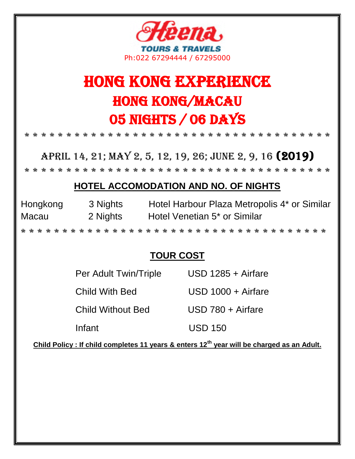

# Hong kong EXPERIENCE Hong Kong/Macau 05 Nights / 06 Days

\* \* \* \* \* \* \* \* \* \* \* \* \* \* \* \* \* \* \* \* \* \* \* \* \* \* \* \* \* \* \* \* \* \* \* \* \*

April 14, 21; May 2, 5, 12, 19, 26; June 2, 9, 16 (2019)

\* \* \* \* \* \* \* \* \* \* \* \* \* \* \* \* \* \* \* \* \* \* \* \* \* \* \* \* \* \* \* \* \* \* \* \* \*

### **HOTEL ACCOMODATION AND NO. OF NIGHTS**

| Hongkong | 3 Nights | Hotel Harbour Plaza Metropolis 4* or Similar |
|----------|----------|----------------------------------------------|
| Macau    | 2 Nights | Hotel Venetian 5 <sup>*</sup> or Similar     |

\* \* \* \* \* \* \* \* \* \* \* \* \* \* \* \* \* \* \* \* \* \* \* \* \* \* \* \* \* \* \* \* \* \* \* \* \*

### **TOUR COST**

| Per Adult Twin/Triple    | USD 1285 + Airfare |
|--------------------------|--------------------|
| Child With Bed           | USD 1000 + Airfare |
| <b>Child Without Bed</b> | USD 780 + Airfare  |
| Infant                   | USD 150            |

**Child Policy : If child completes 11 years & enters 12th year will be charged as an Adult.**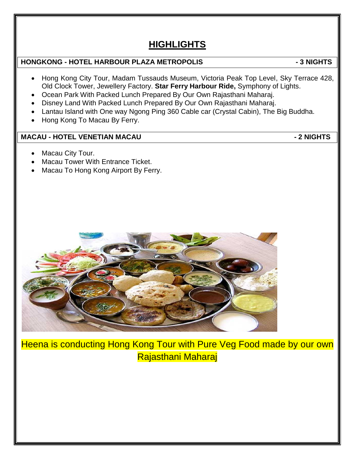## **HIGHLIGHTS**

#### **HONGKONG - HOTEL HARBOUR PLAZA METROPOLIS - 3 NIGHTS**

- Hong Kong City Tour, Madam Tussauds Museum, Victoria Peak Top Level, Sky Terrace 428, Old Clock Tower, Jewellery Factory. **Star Ferry Harbour Ride,** Symphony of Lights.
- Ocean Park With Packed Lunch Prepared By Our Own Rajasthani Maharaj.
- Disney Land With Packed Lunch Prepared By Our Own Rajasthani Maharaj.
- Lantau Island with One way Ngong Ping 360 Cable car (Crystal Cabin), The Big Buddha.
- Hong Kong To Macau By Ferry.

#### **MACAU - HOTEL VENETIAN MACAU - 2 NIGHTS**

- Macau City Tour.
- Macau Tower With Entrance Ticket.
- Macau To Hong Kong Airport By Ferry.



Heena is conducting Hong Kong Tour with Pure Veg Food made by our own Rajasthani Maharaj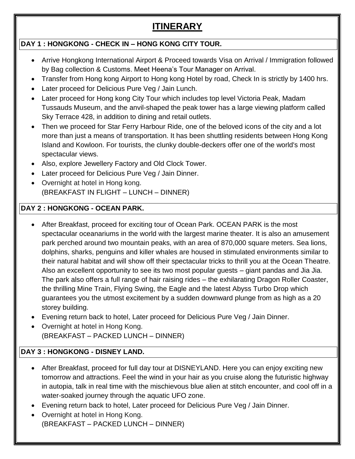## **ITINERARY**

#### **DAY 1 : HONGKONG - CHECK IN – HONG KONG CITY TOUR.**

- Arrive Hongkong International Airport & Proceed towards Visa on Arrival / Immigration followed by Bag collection & Customs. Meet Heena's Tour Manager on Arrival.
- Transfer from Hong kong Airport to Hong kong Hotel by road, Check In is strictly by 1400 hrs.
- Later proceed for Delicious Pure Veg / Jain Lunch.
- Later proceed for Hong kong City Tour which includes top level Victoria Peak, Madam Tussauds Museum, and the anvil-shaped [the peak tower](http://www.discoverhongkong.com/in/shop/where-to-shop/malls-and-department-stores/the-peak-tower.jsp) has a large viewing platform called Sky Terrace 428, in addition to dining and retail outlets.
- Then we proceed for Star Ferry Harbour Ride, one of the beloved icons of the city and a lot more than just a means of transportation. It has been shuttling residents between Hong Kong Island and Kowloon. For tourists, the clunky double-deckers offer one of the world's most spectacular views.
- Also, explore Jewellery Factory and Old Clock Tower.
- Later proceed for Delicious Pure Veg / Jain Dinner.
- Overnight at hotel in Hong kong. (BREAKFAST IN FLIGHT – LUNCH – DINNER)

#### **DAY 2 : HONGKONG - OCEAN PARK.**

- After Breakfast, proceed for exciting tour of Ocean Park. OCEAN PARK is the most spectacular oceanariums in the world with the largest marine theater. It is also an amusement park perched around two mountain peaks, with an area of 870,000 square meters. Sea lions, dolphins, sharks, penguins and killer whales are housed in stimulated environments similar to their natural habitat and will show off their spectacular tricks to thrill you at the Ocean Theatre. Also an excellent opportunity to see its two most popular guests – giant pandas and Jia Jia. The park also offers a full range of hair raising rides – the exhilarating Dragon Roller Coaster, the thrilling Mine Train, Flying Swing, the Eagle and the latest Abyss Turbo Drop which guarantees you the utmost excitement by a sudden downward plunge from as high as a 20 storey building.
- Evening return back to hotel, Later proceed for Delicious Pure Veg / Jain Dinner.
- Overnight at hotel in Hong Kong. (BREAKFAST – PACKED LUNCH – DINNER)

#### **DAY 3 : HONGKONG - DISNEY LAND.**

- After Breakfast, proceed for full day tour at DISNEYLAND. Here you can enjoy exciting new tomorrow and attractions. Feel the wind in your hair as you cruise along the futuristic highway in autopia, talk in real time with the mischievous blue alien at stitch encounter, and cool off in a water-soaked journey through the aquatic UFO zone.
- Evening return back to hotel, Later proceed for Delicious Pure Veg / Jain Dinner.
- Overnight at hotel in Hong Kong. (BREAKFAST – PACKED LUNCH – DINNER)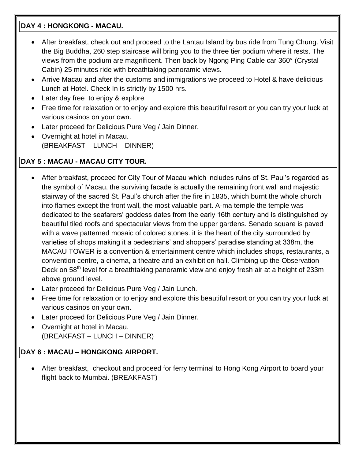#### **DAY 4 : HONGKONG - MACAU.**

- After breakfast, check out and proceed to the Lantau Island by bus ride from Tung Chung. Visit the Big Buddha, 260 step staircase will bring you to the three tier podium where it rests. The views from the podium are magnificent. Then back by Ngong Ping Cable car 360° (Crystal Cabin) 25 minutes ride with breathtaking panoramic views.
- Arrive Macau and after the customs and immigrations we proceed to Hotel & have delicious Lunch at Hotel. Check In is strictly by 1500 hrs.
- Later day free to enjoy & explore
- Free time for relaxation or to enjoy and explore this beautiful resort or you can try your luck at various casinos on your own.
- Later proceed for Delicious Pure Veg / Jain Dinner.
- Overnight at hotel in Macau. (BREAKFAST – LUNCH – DINNER)

#### **DAY 5 : MACAU - MACAU CITY TOUR.**

- After breakfast, proceed for City Tour of Macau which includes ruins of St. Paul's regarded as the symbol of Macau, the surviving facade is actually the remaining front wall and majestic stairway of the sacred St. Paul's church after the fire in 1835, which burnt the whole church into flames except the front wall, the most valuable part. A-ma temple the temple was dedicated to the seafarers' goddess dates from the early 16th century and is distinguished by beautiful tiled roofs and spectacular views from the upper gardens. Senado square is paved with a wave patterned mosaic of colored stones. it is the heart of the city surrounded by varieties of shops making it a pedestrians' and shoppers' paradise standing at 338m, the MACAU TOWER is a convention & entertainment centre which includes shops, restaurants, a convention centre, a cinema, a theatre and an exhibition hall. Climbing up the Observation Deck on 58<sup>th</sup> level for a breathtaking panoramic view and enjoy fresh air at a height of 233m above ground level.
- Later proceed for Delicious Pure Veg / Jain Lunch.
- Free time for relaxation or to enjoy and explore this beautiful resort or you can try your luck at various casinos on your own.
- Later proceed for Delicious Pure Veg / Jain Dinner.
- Overnight at hotel in Macau. (BREAKFAST – LUNCH – DINNER)

#### **DAY 6 : MACAU – HONGKONG AIRPORT.**

 After breakfast, checkout and proceed for ferry terminal to Hong Kong Airport to board your flight back to Mumbai. (BREAKFAST)